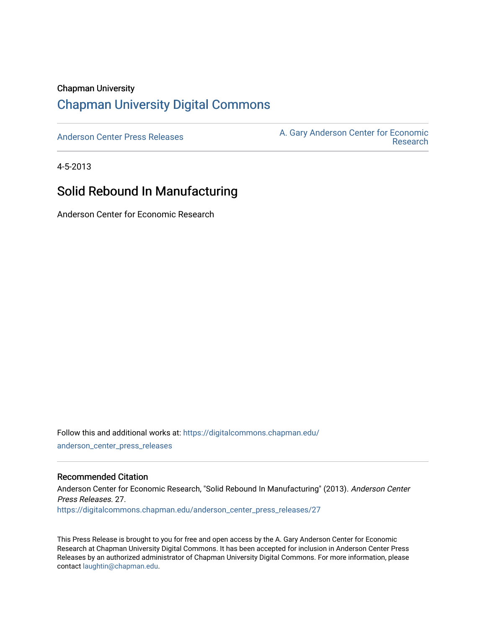#### Chapman University

## [Chapman University Digital Commons](https://digitalcommons.chapman.edu/)

[Anderson Center Press Releases](https://digitalcommons.chapman.edu/anderson_center_press_releases) Anderson Center for Economic A. Gary Anderson Center for Economic [Research](https://digitalcommons.chapman.edu/anderson_center) 

4-5-2013

## Solid Rebound In Manufacturing

Anderson Center for Economic Research

Follow this and additional works at: [https://digitalcommons.chapman.edu/](https://digitalcommons.chapman.edu/anderson_center_press_releases?utm_source=digitalcommons.chapman.edu%2Fanderson_center_press_releases%2F27&utm_medium=PDF&utm_campaign=PDFCoverPages) [anderson\\_center\\_press\\_releases](https://digitalcommons.chapman.edu/anderson_center_press_releases?utm_source=digitalcommons.chapman.edu%2Fanderson_center_press_releases%2F27&utm_medium=PDF&utm_campaign=PDFCoverPages)

#### Recommended Citation

Anderson Center for Economic Research, "Solid Rebound In Manufacturing" (2013). Anderson Center Press Releases. 27. [https://digitalcommons.chapman.edu/anderson\\_center\\_press\\_releases/27](https://digitalcommons.chapman.edu/anderson_center_press_releases/27?utm_source=digitalcommons.chapman.edu%2Fanderson_center_press_releases%2F27&utm_medium=PDF&utm_campaign=PDFCoverPages)

This Press Release is brought to you for free and open access by the A. Gary Anderson Center for Economic Research at Chapman University Digital Commons. It has been accepted for inclusion in Anderson Center Press Releases by an authorized administrator of Chapman University Digital Commons. For more information, please contact [laughtin@chapman.edu](mailto:laughtin@chapman.edu).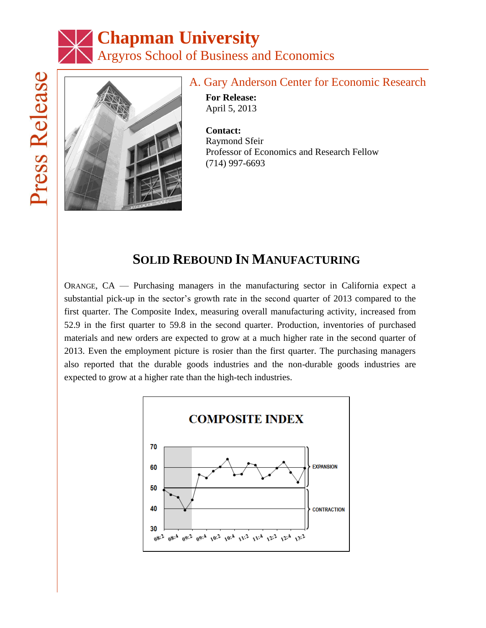# **Chapman University** Argyros School of Business and Economics



## A. Gary Anderson Center for Economic Research

**For Release:** April 5, 2013

**Contact:** Raymond Sfeir Professor of Economics and Research Fellow (714) 997-6693

# **SOLID REBOUND IN MANUFACTURING**

ORANGE, CA — Purchasing managers in the manufacturing sector in California expect a substantial pick-up in the sector's growth rate in the second quarter of 2013 compared to the first quarter. The Composite Index, measuring overall manufacturing activity, increased from 52.9 in the first quarter to 59.8 in the second quarter. Production, inventories of purchased materials and new orders are expected to grow at a much higher rate in the second quarter of 2013. Even the employment picture is rosier than the first quarter. The purchasing managers also reported that the durable goods industries and the non-durable goods industries are expected to grow at a higher rate than the high-tech industries.

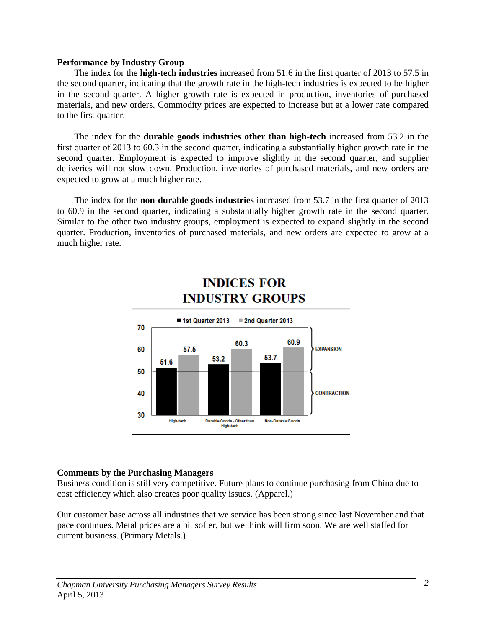#### **Performance by Industry Group**

The index for the **high-tech industries** increased from 51.6 in the first quarter of 2013 to 57.5 in the second quarter, indicating that the growth rate in the high-tech industries is expected to be higher in the second quarter. A higher growth rate is expected in production, inventories of purchased materials, and new orders. Commodity prices are expected to increase but at a lower rate compared to the first quarter.

The index for the **durable goods industries other than high-tech** increased from 53.2 in the first quarter of 2013 to 60.3 in the second quarter, indicating a substantially higher growth rate in the second quarter. Employment is expected to improve slightly in the second quarter, and supplier deliveries will not slow down. Production, inventories of purchased materials, and new orders are expected to grow at a much higher rate.

The index for the **non-durable goods industries** increased from 53.7 in the first quarter of 2013 to 60.9 in the second quarter, indicating a substantially higher growth rate in the second quarter. Similar to the other two industry groups, employment is expected to expand slightly in the second quarter. Production, inventories of purchased materials, and new orders are expected to grow at a much higher rate.



#### **Comments by the Purchasing Managers**

Business condition is still very competitive. Future plans to continue purchasing from China due to cost efficiency which also creates poor quality issues. (Apparel.)

Our customer base across all industries that we service has been strong since last November and that pace continues. Metal prices are a bit softer, but we think will firm soon. We are well staffed for current business. (Primary Metals.)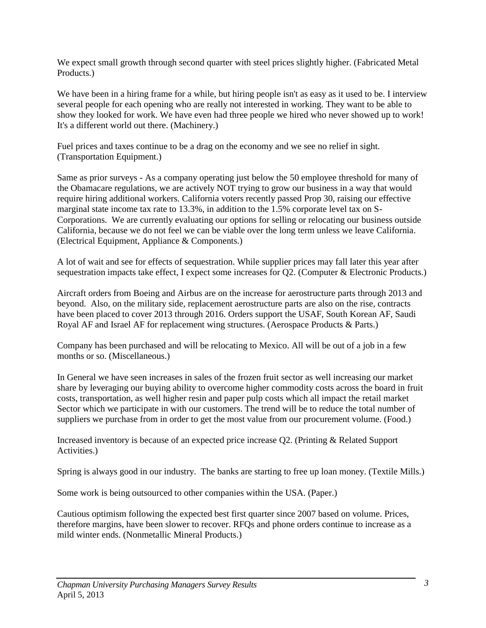We expect small growth through second quarter with steel prices slightly higher. (Fabricated Metal Products.)

We have been in a hiring frame for a while, but hiring people isn't as easy as it used to be. I interview several people for each opening who are really not interested in working. They want to be able to show they looked for work. We have even had three people we hired who never showed up to work! It's a different world out there. (Machinery.)

Fuel prices and taxes continue to be a drag on the economy and we see no relief in sight. (Transportation Equipment.)

Same as prior surveys - As a company operating just below the 50 employee threshold for many of the Obamacare regulations, we are actively NOT trying to grow our business in a way that would require hiring additional workers. California voters recently passed Prop 30, raising our effective marginal state income tax rate to 13.3%, in addition to the 1.5% corporate level tax on S-Corporations. We are currently evaluating our options for selling or relocating our business outside California, because we do not feel we can be viable over the long term unless we leave California. (Electrical Equipment, Appliance & Components.)

A lot of wait and see for effects of sequestration. While supplier prices may fall later this year after sequestration impacts take effect, I expect some increases for Q2. (Computer & Electronic Products.)

Aircraft orders from Boeing and Airbus are on the increase for aerostructure parts through 2013 and beyond. Also, on the military side, replacement aerostructure parts are also on the rise, contracts have been placed to cover 2013 through 2016. Orders support the USAF, South Korean AF, Saudi Royal AF and Israel AF for replacement wing structures. (Aerospace Products & Parts.)

Company has been purchased and will be relocating to Mexico. All will be out of a job in a few months or so. (Miscellaneous.)

In General we have seen increases in sales of the frozen fruit sector as well increasing our market share by leveraging our buying ability to overcome higher commodity costs across the board in fruit costs, transportation, as well higher resin and paper pulp costs which all impact the retail market Sector which we participate in with our customers. The trend will be to reduce the total number of suppliers we purchase from in order to get the most value from our procurement volume. (Food.)

Increased inventory is because of an expected price increase Q2. (Printing & Related Support Activities.)

Spring is always good in our industry. The banks are starting to free up loan money. (Textile Mills.)

Some work is being outsourced to other companies within the USA. (Paper.)

Cautious optimism following the expected best first quarter since 2007 based on volume. Prices, therefore margins, have been slower to recover. RFQs and phone orders continue to increase as a mild winter ends. (Nonmetallic Mineral Products.)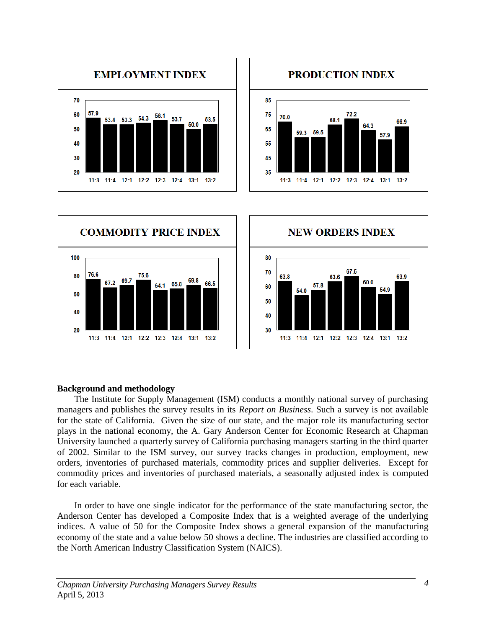







#### **Background and methodology**

The Institute for Supply Management (ISM) conducts a monthly national survey of purchasing managers and publishes the survey results in its *Report on Business*. Such a survey is not available for the state of California. Given the size of our state, and the major role its manufacturing sector plays in the national economy, the A. Gary Anderson Center for Economic Research at Chapman University launched a quarterly survey of California purchasing managers starting in the third quarter of 2002. Similar to the ISM survey, our survey tracks changes in production, employment, new orders, inventories of purchased materials, commodity prices and supplier deliveries. Except for commodity prices and inventories of purchased materials, a seasonally adjusted index is computed for each variable.

In order to have one single indicator for the performance of the state manufacturing sector, the Anderson Center has developed a Composite Index that is a weighted average of the underlying indices. A value of 50 for the Composite Index shows a general expansion of the manufacturing economy of the state and a value below 50 shows a decline. The industries are classified according to the North American Industry Classification System (NAICS).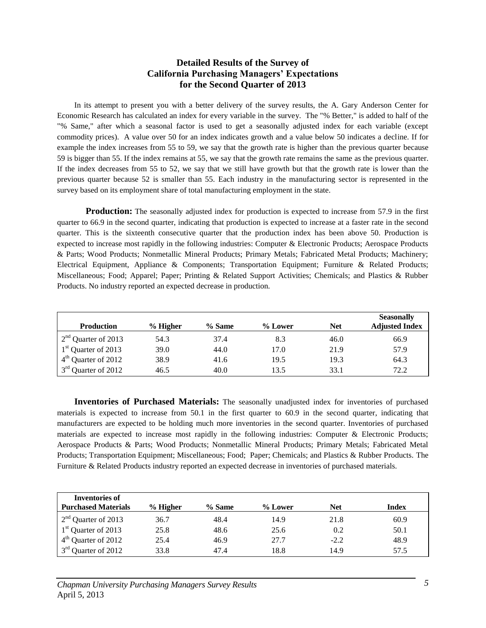#### **Detailed Results of the Survey of California Purchasing Managers' Expectations for the Second Quarter of 2013**

In its attempt to present you with a better delivery of the survey results, the A. Gary Anderson Center for Economic Research has calculated an index for every variable in the survey. The "% Better," is added to half of the "% Same," after which a seasonal factor is used to get a seasonally adjusted index for each variable (except commodity prices). A value over 50 for an index indicates growth and a value below 50 indicates a decline. If for example the index increases from 55 to 59, we say that the growth rate is higher than the previous quarter because 59 is bigger than 55. If the index remains at 55, we say that the growth rate remains the same as the previous quarter. If the index decreases from 55 to 52, we say that we still have growth but that the growth rate is lower than the previous quarter because 52 is smaller than 55. Each industry in the manufacturing sector is represented in the survey based on its employment share of total manufacturing employment in the state.

**Production:** The seasonally adjusted index for production is expected to increase from 57.9 in the first quarter to 66.9 in the second quarter, indicating that production is expected to increase at a faster rate in the second quarter. This is the sixteenth consecutive quarter that the production index has been above 50. Production is expected to increase most rapidly in the following industries: Computer & Electronic Products; Aerospace Products & Parts; Wood Products; Nonmetallic Mineral Products; Primary Metals; Fabricated Metal Products; Machinery; Electrical Equipment, Appliance & Components; Transportation Equipment; Furniture & Related Products; Miscellaneous; Food; Apparel; Paper; Printing & Related Support Activities; Chemicals; and Plastics & Rubber Products. No industry reported an expected decrease in production.

| <b>Production</b>               | $%$ Higher | $%$ Same | % Lower | <b>Net</b> | <b>Seasonally</b><br><b>Adjusted Index</b> |
|---------------------------------|------------|----------|---------|------------|--------------------------------------------|
| $2nd$ Quarter of 2013           | 54.3       | 37.4     | 8.3     | 46.0       | 66.9                                       |
| 1 <sup>st</sup> Quarter of 2013 | 39.0       | 44.0     | 17.0    | 21.9       | 57.9                                       |
| $4th$ Quarter of 2012           | 38.9       | 41.6     | 19.5    | 19.3       | 64.3                                       |
| 3 <sup>rd</sup> Quarter of 2012 | 46.5       | 40.0     | 13.5    | 33.1       | 72.2                                       |

**Inventories of Purchased Materials:** The seasonally unadjusted index for inventories of purchased materials is expected to increase from 50.1 in the first quarter to 60.9 in the second quarter, indicating that manufacturers are expected to be holding much more inventories in the second quarter. Inventories of purchased materials are expected to increase most rapidly in the following industries: Computer & Electronic Products; Aerospace Products & Parts; Wood Products; Nonmetallic Mineral Products; Primary Metals; Fabricated Metal Products; Transportation Equipment; Miscellaneous; Food; Paper; Chemicals; and Plastics & Rubber Products. The Furniture & Related Products industry reported an expected decrease in inventories of purchased materials.

| Inventories of                  |            |        |         |            |       |
|---------------------------------|------------|--------|---------|------------|-------|
| <b>Purchased Materials</b>      | $%$ Higher | % Same | % Lower | <b>Net</b> | Index |
| $2nd$ Quarter of 2013           | 36.7       | 48.4   | 14.9    | 21.8       | 60.9  |
| $1st$ Quarter of 2013           | 25.8       | 48.6   | 25.6    | 0.2        | 50.1  |
| $4th$ Quarter of 2012           | 25.4       | 46.9   | 27.7    | $-2.2$     | 48.9  |
| 3 <sup>rd</sup> Quarter of 2012 | 33.8       | 47.4   | 18.8    | 14.9       | 57.5  |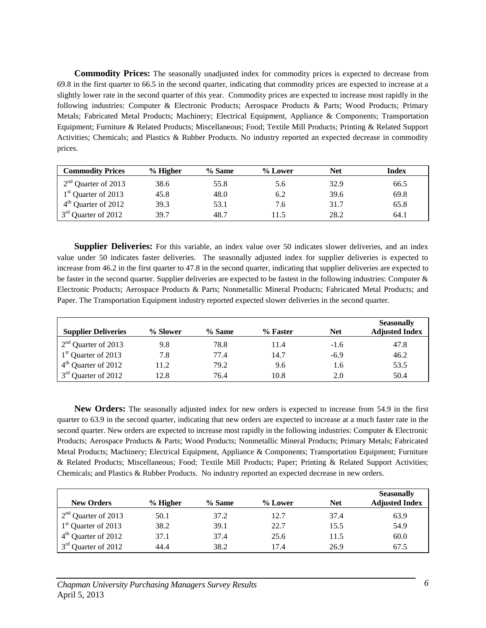**Commodity Prices:** The seasonally unadjusted index for commodity prices is expected to decrease from 69.8 in the first quarter to 66.5 in the second quarter, indicating that commodity prices are expected to increase at a slightly lower rate in the second quarter of this year. Commodity prices are expected to increase most rapidly in the following industries: Computer & Electronic Products; Aerospace Products & Parts; Wood Products; Primary Metals; Fabricated Metal Products; Machinery; Electrical Equipment, Appliance & Components; Transportation Equipment; Furniture & Related Products; Miscellaneous; Food; Textile Mill Products; Printing & Related Support Activities; Chemicals; and Plastics & Rubber Products. No industry reported an expected decrease in commodity prices.

| <b>Commodity Prices</b>         | % Higher | % Same | $%$ Lower | Net  | Index |
|---------------------------------|----------|--------|-----------|------|-------|
| $2nd$ Quarter of 2013           | 38.6     | 55.8   | 5.6       | 32.9 | 66.5  |
| $1st$ Quarter of 2013           | 45.8     | 48.0   | 6.2       | 39.6 | 69.8  |
| $4th$ Quarter of 2012           | 39.3     | 53.1   | 7.6       | 31.7 | 65.8  |
| 3 <sup>rd</sup> Quarter of 2012 | 397      | 48.7   | 1.5       | 28.2 | 64.1  |

**Supplier Deliveries:** For this variable, an index value over 50 indicates slower deliveries, and an index value under 50 indicates faster deliveries. The seasonally adjusted index for supplier deliveries is expected to increase from 46.2 in the first quarter to 47.8 in the second quarter, indicating that supplier deliveries are expected to be faster in the second quarter. Supplier deliveries are expected to be fastest in the following industries: Computer & Electronic Products; Aerospace Products & Parts; Nonmetallic Mineral Products; Fabricated Metal Products; and Paper. The Transportation Equipment industry reported expected slower deliveries in the second quarter.

| <b>Supplier Deliveries</b>      | % Slower | % Same | % Faster | <b>Net</b> | <b>Seasonally</b><br><b>Adjusted Index</b> |
|---------------------------------|----------|--------|----------|------------|--------------------------------------------|
| $2nd$ Quarter of 2013           | 9.8      | 78.8   | 11.4     | $-1.6$     | 47.8                                       |
| 1 <sup>st</sup> Quarter of 2013 | 7.8      | 77.4   | 14.7     | $-6.9$     | 46.2                                       |
| $4th$ Quarter of 2012           | 11.2     | 79.2   | 9.6      | 1.6        | 53.5                                       |
| 3 <sup>rd</sup> Quarter of 2012 | 12.8     | 76.4   | 10.8     | 2.0        | 50.4                                       |

**New Orders:** The seasonally adjusted index for new orders is expected to increase from 54.9 in the first quarter to 63.9 in the second quarter, indicating that new orders are expected to increase at a much faster rate in the second quarter. New orders are expected to increase most rapidly in the following industries: Computer & Electronic Products; Aerospace Products & Parts; Wood Products; Nonmetallic Mineral Products; Primary Metals; Fabricated Metal Products; Machinery; Electrical Equipment, Appliance & Components; Transportation Equipment; Furniture & Related Products; Miscellaneous; Food; Textile Mill Products; Paper; Printing & Related Support Activities; Chemicals; and Plastics & Rubber Products. No industry reported an expected decrease in new orders.

| <b>New Orders</b>               | $%$ Higher | $%$ Same | % Lower | <b>Net</b> | <b>Seasonally</b><br><b>Adjusted Index</b> |
|---------------------------------|------------|----------|---------|------------|--------------------------------------------|
| $2nd$ Quarter of 2013           | 50.1       | 37.2     | 12.7    | 37.4       | 63.9                                       |
| $1st$ Quarter of 2013           | 38.2       | 39.1     | 22.7    | 15.5       | 54.9                                       |
| 4 <sup>th</sup> Quarter of 2012 | 37.1       | 37.4     | 25.6    | 11.5       | 60.0                                       |
| 3 <sup>rd</sup> Quarter of 2012 | 44.4       | 38.2     | 17.4    | 26.9       | 67.5                                       |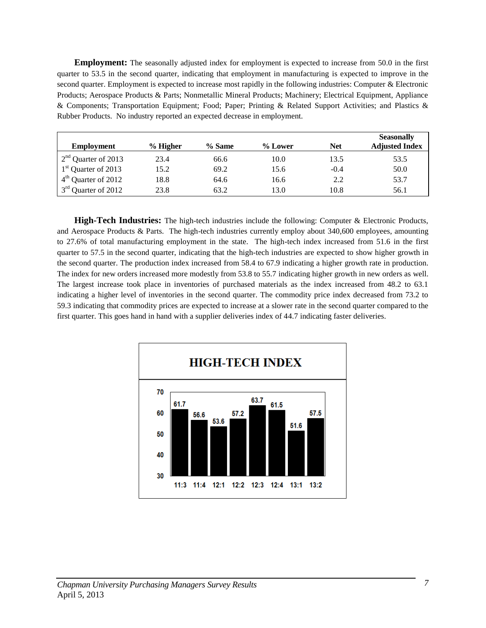**Employment:** The seasonally adjusted index for employment is expected to increase from 50.0 in the first quarter to 53.5 in the second quarter, indicating that employment in manufacturing is expected to improve in the second quarter. Employment is expected to increase most rapidly in the following industries: Computer & Electronic Products; Aerospace Products & Parts; Nonmetallic Mineral Products; Machinery; Electrical Equipment, Appliance & Components; Transportation Equipment; Food; Paper; Printing & Related Support Activities; and Plastics & Rubber Products. No industry reported an expected decrease in employment.

| <b>Employment</b>               | % Higher | $%$ Same | % Lower | <b>Net</b> | <b>Seasonally</b><br><b>Adjusted Index</b> |
|---------------------------------|----------|----------|---------|------------|--------------------------------------------|
| $2nd$ Quarter of 2013           | 23.4     | 66.6     | 10.0    | 13.5       | 53.5                                       |
| 1 <sup>st</sup> Quarter of 2013 | 15.2     | 69.2     | 15.6    | $-0.4$     | 50.0                                       |
| 4 <sup>th</sup> Quarter of 2012 | 18.8     | 64.6     | 16.6    | 2.2        | 53.7                                       |
| 3 <sup>rd</sup> Quarter of 2012 | 23.8     | 63.2     | 13.0    | 10.8       | 56.1                                       |

**High-Tech Industries:** The high-tech industries include the following: Computer & Electronic Products, and Aerospace Products & Parts. The high-tech industries currently employ about 340,600 employees, amounting to 27.6% of total manufacturing employment in the state. The high-tech index increased from 51.6 in the first quarter to 57.5 in the second quarter, indicating that the high-tech industries are expected to show higher growth in the second quarter. The production index increased from 58.4 to 67.9 indicating a higher growth rate in production. The index for new orders increased more modestly from 53.8 to 55.7 indicating higher growth in new orders as well. The largest increase took place in inventories of purchased materials as the index increased from 48.2 to 63.1 indicating a higher level of inventories in the second quarter. The commodity price index decreased from 73.2 to 59.3 indicating that commodity prices are expected to increase at a slower rate in the second quarter compared to the first quarter. This goes hand in hand with a supplier deliveries index of 44.7 indicating faster deliveries.

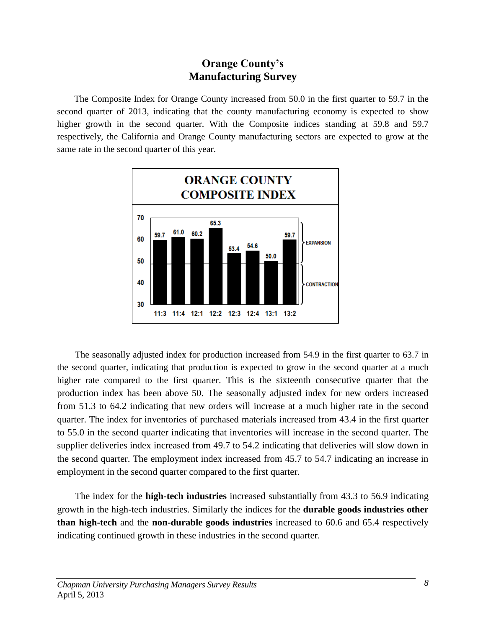### **Orange County's Manufacturing Survey**

The Composite Index for Orange County increased from 50.0 in the first quarter to 59.7 in the second quarter of 2013, indicating that the county manufacturing economy is expected to show higher growth in the second quarter. With the Composite indices standing at 59.8 and 59.7 respectively, the California and Orange County manufacturing sectors are expected to grow at the same rate in the second quarter of this year.



The seasonally adjusted index for production increased from 54.9 in the first quarter to 63.7 in the second quarter, indicating that production is expected to grow in the second quarter at a much higher rate compared to the first quarter. This is the sixteenth consecutive quarter that the production index has been above 50. The seasonally adjusted index for new orders increased from 51.3 to 64.2 indicating that new orders will increase at a much higher rate in the second quarter. The index for inventories of purchased materials increased from 43.4 in the first quarter to 55.0 in the second quarter indicating that inventories will increase in the second quarter. The supplier deliveries index increased from 49.7 to 54.2 indicating that deliveries will slow down in the second quarter. The employment index increased from 45.7 to 54.7 indicating an increase in employment in the second quarter compared to the first quarter.

The index for the **high-tech industries** increased substantially from 43.3 to 56.9 indicating growth in the high-tech industries. Similarly the indices for the **durable goods industries other than high-tech** and the **non-durable goods industries** increased to 60.6 and 65.4 respectively indicating continued growth in these industries in the second quarter.